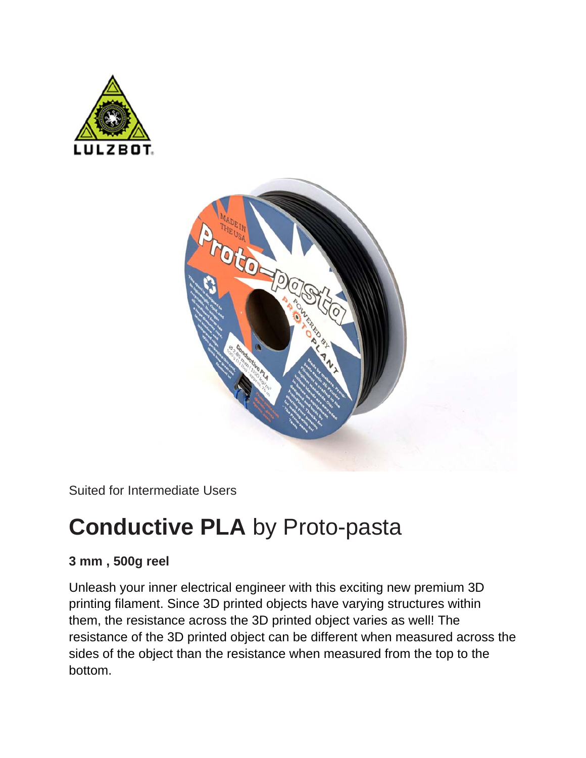



Suited for Intermediate Users

## **Conductive PLA** by Proto-pasta

## **3 mm , 500g reel**

Unleash your inner electrical engineer with this exciting new premium 3D printing filament. Since 3D printed objects have varying structures within them, the resistance across the 3D printed object varies as well! The resistance of the 3D printed object can be different when measured across the sides of the object than the resistance when measured from the top to the bottom.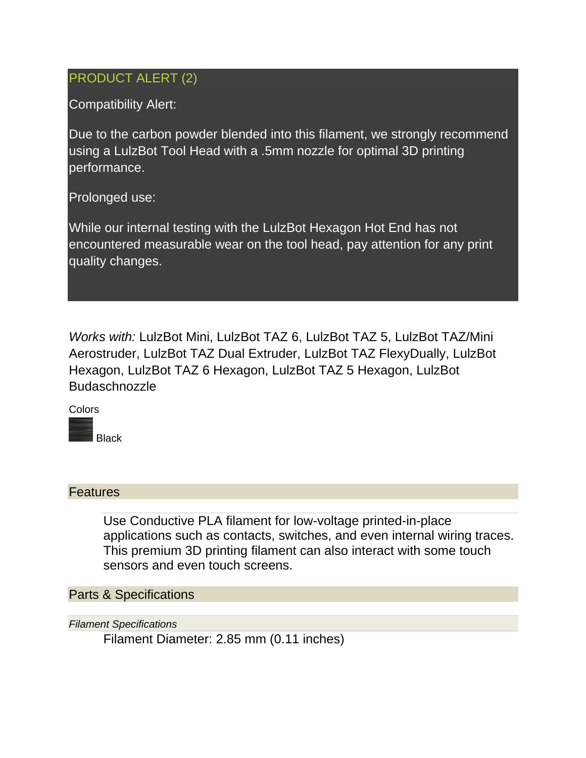## PRODUCT ALERT (2)

Compatibility Alert:

Due to the carbon powder blended into this filament, we strongly recommend using a LulzBot Tool Head with a .5mm nozzle for optimal 3D printing performance.

Prolonged use:

While our internal testing with the LulzBot Hexagon Hot End has not encountered measurable wear on the tool head, pay attention for any print quality changes.

*Works with:* LulzBot Mini, LulzBot TAZ 6, LulzBot TAZ 5, LulzBot TAZ/Mini Aerostruder, LulzBot TAZ Dual Extruder, LulzBot TAZ FlexyDually, LulzBot Hexagon, LulzBot TAZ 6 Hexagon, LulzBot TAZ 5 Hexagon, LulzBot Budaschnozzle

Colors

Black

## **Features**

Use Conductive PLA filament for low-voltage printed-in-place applications such as contacts, switches, and even internal wiring traces. This premium 3D printing filament can also interact with some touch sensors and even touch screens.

Parts & Specifications

*Filament Specifications*

Filament Diameter: 2.85 mm (0.11 inches)